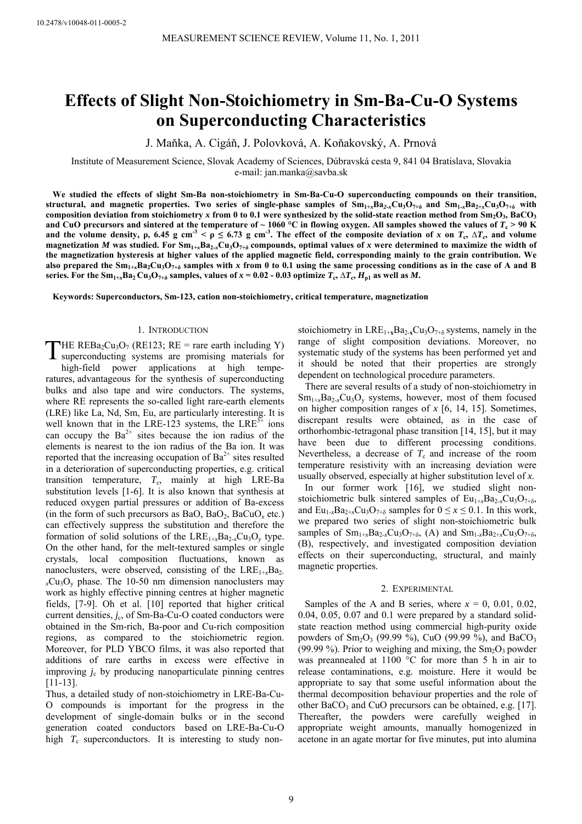# **Effects of Slight Non-Stoichiometry in Sm-Ba-Cu-O Systems on Superconducting Characteristics**

J. Maňka, A. Cigáň, J. Polovková, A. Koňakovský, A. Prnová

Institute of Measurement Science, Slovak Academy of Sciences, Dúbravská cesta 9, 841 04 Bratislava, Slovakia e-mail: jan.manka@savba.sk

**We studied the effects of slight Sm-Ba non-stoichiometry in Sm-Ba-Cu-O superconducting compounds on their transition,**  structural, and magnetic properties. Two series of single-phase samples of  $Sm_{1+x}Ba_{2-x}Cu_3O_{7+\delta}$  and  $Sm_{1-x}Ba_{2+x}Cu_3O_{7+\delta}$  with composition deviation from stoichiometry x from 0 to 0.1 were synthesized by the solid-state reaction method from  $Sm_2O_3$ , BaCO<sub>3</sub> and CuO precursors and sintered at the temperature of  $\sim 1060$  °C in flowing oxygen. All samples showed the values of  $T_c > 90$  K **and the volume density,**  $\rho$ **, 6.45 g cm<sup>-3</sup> <**  $\rho \le 6.73$  **g cm<sup>-3</sup>. The effect of the composite deviation of** *x* **on**  $T_c$ **,**  $\Delta T_c$ **, and volume** magnetization *M* was studied. For  $Sm_{1+x}Ba_{2-x}Cu_3O_{7+\delta}$  compounds, optimal values of *x* were determined to maximize the width of **the magnetization hysteresis at higher values of the applied magnetic field, corresponding mainly to the grain contribution. We** also prepared the  $Sm_{1+x}Ba_2Cu_3O_{7+\delta}$  samples with x from 0 to 0.1 using the same processing conditions as in the case of A and B **series.** For the Sm<sub>1+*x*</sub> Ba<sub>2</sub> Cu<sub>3</sub>O<sub>7+</sub><sub>δ</sub> samples, values of  $x = 0.02$  - 0.03 optimize  $T_c$ ,  $\Delta T_c$ ,  $H_{p1}$  as well as M.

**Keywords: Superconductors, Sm-123, cation non-stoichiometry, critical temperature, magnetization** 

## 1. INTRODUCTION

THE REBa<sub>2</sub>Cu<sub>3</sub>O<sub>7</sub> (RE123; RE = rare earth including Y) superconducting systems are promising materials for su perconducting systems are promising materials for hi gh-field power applications at high temperatures, advantageous for the synthesis of superconducting bulks and also tape and wire conductors. The systems, where RE represents the so-called light rare-earth elements (LRE) like La, Nd, Sm, Eu, are particularly interesting. It is well known that in the LRE-123 systems, the LRE $^{3+}$  ions can occupy the  $Ba^{2+}$  sites because the ion radius of the elements is nearest to the ion radius of the Ba ion. It was reported that the increasing occupation of  $Ba^{2+}$  sites resulted in a deterioration of superconducting properties, e.g. critical transition temperature,  $T_c$ , mainly at high LRE-Ba substitution levels [1-6]. It is also known that synthesis at reduced oxygen partial pressures or addition of Ba-excess (in the form of such precursors as BaO, BaO<sub>2</sub>, BaCuO<sub>x</sub> etc.) can effectively suppress the substitution and therefore the formation of solid solutions of the  $LRE_{1+x}Ba_{2-x}Cu_3O_y$  type. On the other hand, for the melt-textured samples or single crystals, local composition fluctuations, known as nanoclusters, were observed, consisting of the LRE<sub>1+x</sub>Ba<sub>2</sub>.  $<sub>x</sub>Cu<sub>3</sub>O<sub>y</sub>$  phase. The 10-50 nm dimension nanoclusters may</sub> work as highly effective pinning centres at higher magnetic fields, [7-9]. Oh et al. [10] reported that higher critical current densities, *j<sub>c</sub>*, of Sm-Ba-Cu-O coated conductors were obtained in the Sm-rich, Ba-poor and Cu-rich composition regions, as compared to the stoichiometric region. Moreover, for PLD YBCO films, it was also reported that additions of rare earths in excess were effective in improving *j*c by producing nanoparticulate pinning centres [11-13].

Thus, a detailed study of non-stoichiometry in LRE-Ba-Cu-O compounds is important for the progress in the development of single-domain bulks or in the second generation coated conductors based on LRE-Ba-Cu-O high  $T_c$  superconductors. It is interesting to study nonstoichiometry in  $LRE_{1+x}Ba_{2-x}Cu_3O_{7+\delta}$  systems, namely in the range of slight composition deviations. Moreover, no systematic study of the systems has been performed yet and it should be noted that their properties are strongly dependent on technological procedure parameters.

There are several results of a study of non-stoichiometry in  $Sm_{1+x}Ba_{2-x}Cu_3O_y$  systems, however, most of them focused on higher composition ranges of *x* [6, 14, 15]. Sometimes, discrepant results were obtained, as in the case of orthorhombic-tetragonal phase transition [14, 15], but it may have been due to different processing conditions. Nevertheless, a decrease of  $T_c$  and increase of the room temperature resistivity with an increasing deviation were usually observed, especially at higher substitution level of *x*.

In our former work [16], we studied slight nonstoichiometric bulk sintered samples of  $Eu_{1+x}Ba_{2-x}Cu_3O_{7+\delta}$ , and  $Eu_{1-x}Ba_{2+x}Cu_3O_{7+\delta}$  samples for  $0 \le x \le 0.1$ . In this work, we prepared two series of slight non-stoichiometric bulk samples of  $Sm_{1+x}Ba_{2-x}Cu_3O_{7+\delta}$ , (A) and  $Sm_{1-x}Ba_{2+x}Cu_3O_{7+\delta}$ , (B), respectively, and investigated composition deviation effects on their superconducting, structural, and mainly magnetic properties.

#### 2. EXPERIMENTAL

Samples of the A and B series, where  $x = 0, 0.01, 0.02$ , 0.04, 0.05, 0.07 and 0.1 were prepared by a standard solidstate reaction method using commercial high-purity oxide powders of  $Sm_2O_3$  (99.99 %), CuO (99.99 %), and BaCO<sub>3</sub> (99.99 %). Prior to weighing and mixing, the  $Sm<sub>2</sub>O<sub>3</sub>$  powder was preannealed at 1100 °C for more than 5 h in air to release contaminations, e.g. moisture. Here it would be appropriate to say that some useful information about the thermal decomposition behaviour properties and the role of other BaCO<sub>3</sub> and CuO precursors can be obtained, e.g.  $[17]$ . Thereafter, the powders were carefully weighed in appropriate weight amounts, manually homogenized in acetone in an agate mortar for five minutes, put into alumina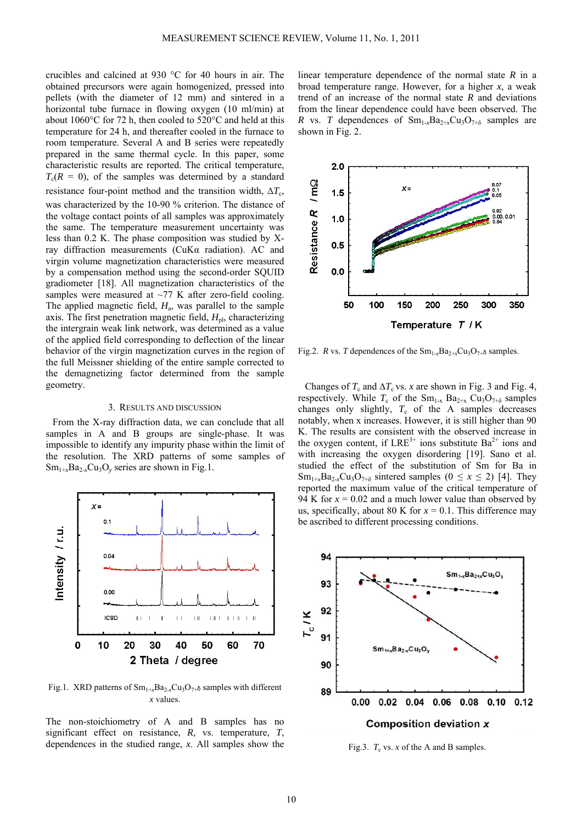crucibles and calcined at 930 °C for 40 hours in air. The obtained precursors were again homogenized, pressed into pellets (with the diameter of 12 mm) and sintered in a horizontal tube furnace in flowing oxygen (10 ml/min) at about 1060°C for 72 h, then cooled to 520°C and held at this temperature for 24 h, and thereafter cooled in the furnace to room temperature. Several A and B series were repeatedly prepared in the same thermal cycle. In this paper, some characteristic results are reported. The critical temperature,  $T_c(R = 0)$ , of the samples was determined by a standard resistance four-point method and the transition width,  $\Delta T_c$ , was characterized by the 10-90 % criterion. The distance of the voltage contact points of all samples was approximately the same. The temperature measurement uncertainty was less than 0.2 K. The phase composition was studied by Xray diffraction measurements (CuKα radiation). AC and virgin volume magnetization characteristics were measured by a compensation method using the second-order SQUID gradiometer [18]. All magnetization characteristics of the samples were measured at ~77 K after zero-field cooling. The applied magnetic field,  $H_a$ , was parallel to the sample axis. The first penetration magnetic field, *H*pl, characterizing the intergrain weak link network, was determined as a value of the applied field corresponding to deflection of the linear behavior of the virgin magnetization curves in the region of the full Meissner shielding of the entire sample corrected to the demagnetizing factor determined from the sample geometry.

## 3. RESULTS AND DISCUSSION

From the X-ray diffraction data, we can conclude that all samples in A and B groups are single-phase. It was impossible to identify any impurity phase within the limit of the resolution. The XRD patterns of some samples of  $Sm_{1+x}Ba_{2-x}Cu_3O_y$  series are shown in Fig.1.



Fig.1. XRD patterns of Sm1+*x*Ba2-*x*Cu3O7+δ samples with different *x* values.

The non-stoichiometry of A and B samples has no significant effect on resistance, *R*, vs. temperature, *T*, dependences in the studied range, *x*. All samples show the linear temperature dependence of the normal state *R* in a broad temperature range. However, for a higher *x*, a weak trend of an increase of the normal state *R* and deviations from the linear dependence could have been observed. The *R* vs. *T* dependences of  $Sm_{1-x}Ba_{2+x}Cu_3O_{7+\delta}$  samples are shown in Fig. 2.



Fig.2. *R* vs. *T* dependences of the  $Sm_1, Ba_2, \dots, Ca_3O_7$  samples.

Changes of  $T_c$  and  $\Delta T_c$  vs. *x* are shown in Fig. 3 and Fig. 4, respectively. While  $T_c$  of the Sm<sub>1-x</sub> Ba<sub>2+x</sub> Cu<sub>3</sub>O<sub>7+ $\delta$ </sub> samples changes only slightly,  $T_c$  of the A samples decreases notably, when x increases. However, it is still higher than 90 K. The results are consistent with the observed increase in the oxygen content, if  $LRE^{3+}$  ions substitute  $Ba^{2+}$  ions and with increasing the oxygen disordering [19]. Sano et al. studied the effect of the substitution of Sm for Ba in  $Sm_{1+x}Ba_{2-x}Cu_3O_{7+\delta}$  sintered samples ( $0 \le x \le 2$ ) [4]. They reported the maximum value of the critical temperature of 94 K for  $x = 0.02$  and a much lower value than observed by us, specifically, about 80 K for  $x = 0.1$ . This difference may be ascribed to different processing conditions.



Fig.3.  $T_c$  vs.  $x$  of the A and B samples.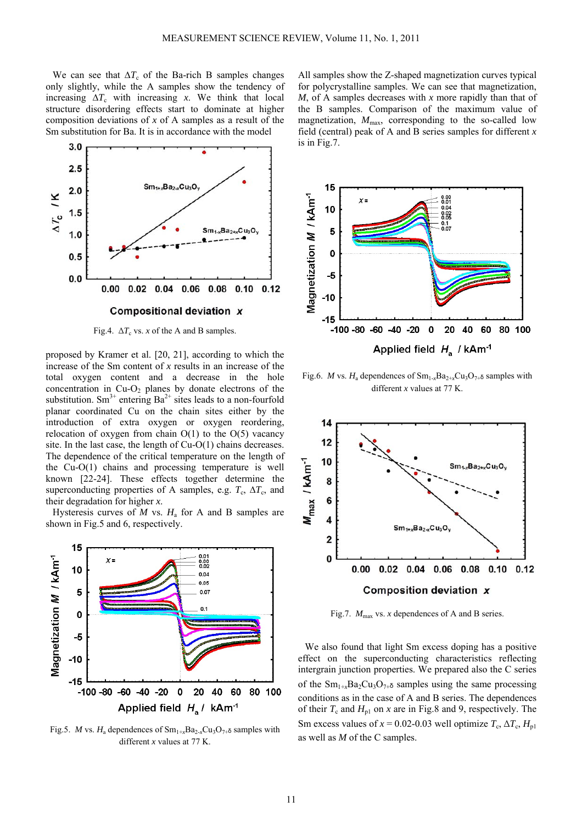We can see that  $\Delta T_c$  of the Ba-rich B samples changes only slightly, while the A samples show the tendency of increasing  $\Delta T_c$  with increasing *x*. We think that local structure disordering effects start to dominate at higher composition deviations of *x* of A samples as a result of the Sm substitution for Ba. It is in accordance with the model



Fig.4.  $\Delta T_c$  vs. *x* of the A and B samples.

proposed by Kramer et al. [20, 21], according to which the increase of the Sm content of *x* results in an increase of the total oxygen content and a decrease in the hole concentration in  $Cu-O<sub>2</sub>$  planes by donate electrons of the substitution. Sm<sup>3+</sup> entering Ba<sup>2+</sup> sites leads to a non-fourfold planar coordinated Cu on the chain sites either by the introduction of extra oxygen or oxygen reordering, relocation of oxygen from chain  $O(1)$  to the  $O(5)$  vacancy site. In the last case, the length of Cu-O(1) chains decreases. The dependence of the critical temperature on the length of the Cu-O(1) chains and processing temperature is well known [22-24]. These effects together determine the superconducting properties of A samples, e.g.  $T_c$ ,  $\Delta T_c$ , and their degradation for higher *x*.

Hysteresis curves of  $M$  vs.  $H_a$  for A and B samples are shown in Fig.5 and 6, respectively.



Fig.5. *M* vs.  $H_a$  dependences of  $Sm_{1+r}Ba_{2-r}Cu_3O_{7+\delta}$  samples with different *x* values at 77 K.

All samples show the Z-shaped magnetization curves typical for polycrystalline samples. We can see that magnetization, *M*, of A samples decreases with *x* more rapidly than that of the B samples. Comparison of the maximum value of magnetization,  $M_{\text{max}}$ , corresponding to the so-called low field (central) peak of A and B series samples for different *x* is in Fig.7.



Fig.6. *M* vs.  $H_a$  dependences of  $Sm_{1-x}Ba_{2+x}Cu_3O_{7+\delta}$  samples with different *x* values at 77 K.



Fig.7.  $M_{\text{max}}$  vs. *x* dependences of A and B series.

We also found that light Sm excess doping has a positive effect on the superconducting characteristics reflecting intergrain junction properties. We prepared also the C series of the  $\text{Sm}_{1+x}\text{Ba}_2\text{Cu}_3\text{O}_{7+\delta}$  samples using the same processing conditions as in the case of A and B series. The dependences of their  $T_c$  and  $H_{p1}$  on *x* are in Fig.8 and 9, respectively. The Sm excess values of  $x = 0.02-0.03$  well optimize  $T_c$ ,  $\Delta T_c$ ,  $H_{\text{nl}}$ as well as *M* of the C samples.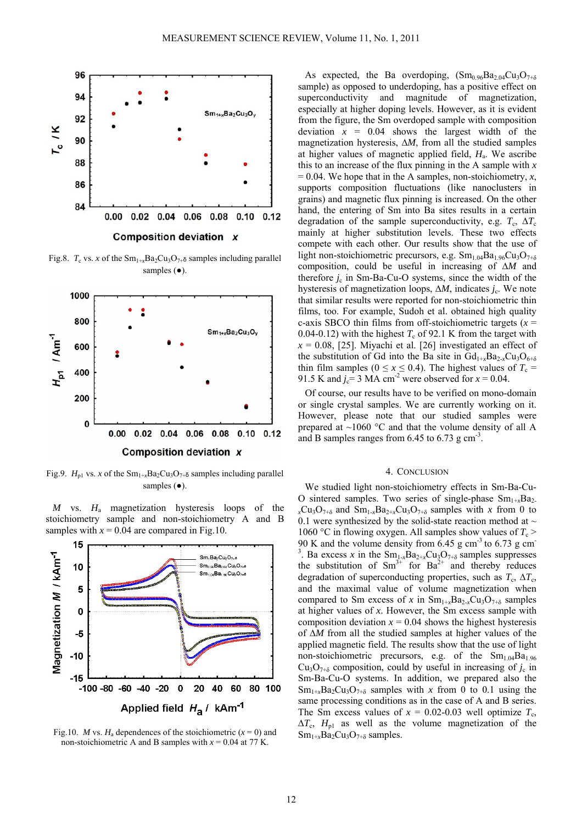

Fig.8.  $T_c$  vs. *x* of the Sm<sub>1+x</sub>Ba<sub>2</sub>Cu<sub>3</sub>O<sub>7+</sub> $\delta$  samples including parallel samples (●).



Fig.9.  $H_{p1}$  vs. *x* of the Sm<sub>1+x</sub>Ba<sub>2</sub>Cu<sub>3</sub>O<sub>7+δ</sub> samples including parallel samples ( $\bullet$ ).

*M* vs. *H*a magnetization hysteresis loops of the stoichiometry sample and non-stoichiometry A and B samples with  $x = 0.04$  are compared in Fig.10.



Fig.10. *M* vs.  $H_a$  dependences of the stoichiometric ( $x = 0$ ) and non-stoichiometric A and B samples with  $x = 0.04$  at 77 K.

As expected, the Ba overdoping,  $(Sm_{0.96}Ba_{2.04}Cu_3O_{7+\delta}$ sample) as opposed to underdoping, has a positive effect on superconductivity and magnitude of magnetization, especially at higher doping levels. However, as it is evident from the figure, the Sm overdoped sample with composition deviation  $x = 0.04$  shows the largest width of the magnetization hysteresis, ∆*M*, from all the studied samples at higher values of magnetic applied field, *H*a. We ascribe this to an increase of the flux pinning in the A sample with *x*  $= 0.04$ . We hope that in the A samples, non-stoichiometry, *x*, supports composition fluctuations (like nanoclusters in grains) and magnetic flux pinning is increased. On the other hand, the entering of Sm into Ba sites results in a certain degradation of the sample superconductivity, e.g.  $T_c$ ,  $\Delta T_c$ mainly at higher substitution levels. These two effects compete with each other. Our results show that the use of light non-stoichiometric precursors, e.g.  $Sm_{1.04}Ba_{1.96}Cu_3O_{7+\delta}$ composition, could be useful in increasing of ∆*M* and therefore *j<sub>c</sub>* in Sm-Ba-Cu-O systems, since the width of the hysteresis of magnetization loops, ∆*M*, indicates *j*c. We note that similar results were reported for non-stoichiometric thin films, too. For example, Sudoh et al. obtained high quality c-axis SBCO thin films from off-stoichiometric targets (*x* = 0.04-0.12) with the highest  $T_c$  of 92.1 K from the target with  $x = 0.08$ , [25]. Miyachi et al. [26] investigated an effect of the substitution of Gd into the Ba site in  $Gd_{1+x}Ba_{2-x}Cu_3O_{6+\delta}$ thin film samples ( $0 \le x \le 0.4$ ). The highest values of  $T_c$  = 91.5 K and  $j_c$ = 3 MA cm<sup>-2</sup> were observed for  $x = 0.04$ .

Of course, our results have to be verified on mono-domain or single crystal samples. We are currently working on it. However, please note that our studied samples were prepared at  $\sim$ 1060 °C and that the volume density of all A and B samples ranges from  $6.45$  to  $6.73$  g cm<sup>-3</sup>.

## 4. CONCLUSION

We studied light non-stoichiometry effects in Sm-Ba-Cu-O sintered samples. Two series of single-phase  $Sm_{1+x}Ba_2$ .  $_{x}Cu_{3}O_{7+δ}$  and  $Sm_{1-x}Ba_{2+x}Cu_{3}O_{7+δ}$  samples with *x* from 0 to 0.1 were synthesized by the solid-state reaction method at  $\sim$ 1060 °C in flowing oxygen. All samples show values of  $T_c$  > 90 K and the volume density from  $6.45$  g cm<sup>-3</sup> to 6.73 g cm<sup>-</sup> <sup>3</sup>. Ba excess *x* in the Sm<sub>1-x</sub>Ba<sub>2+x</sub>Cu<sub>3</sub>O<sub>7+δ</sub> samples suppresses the substitution of  $Sm^{3+}$  for  $Ba^{2+}$  and thereby reduces degradation of superconducting properties, such as  $T_c$ ,  $\Delta T_c$ , and the maximal value of volume magnetization when compared to Sm excess of *x* in  $Sm_{1+x}Ba_{2-x}Cu_3O_{7+\delta}$  samples at higher values of *x*. However, the Sm excess sample with composition deviation  $x = 0.04$  shows the highest hysteresis of ∆*M* from all the studied samples at higher values of the applied magnetic field. The results show that the use of light non-stoichiometric precursors, e.g. of the  $Sm<sub>1.04</sub>Ba<sub>1.96</sub>$  $Cu<sub>3</sub>O<sub>7+δ</sub>$  composition, could by useful in increasing of  $j<sub>c</sub>$  in Sm-Ba-Cu-O systems. In addition, we prepared also the  $Sm_{1+x}Ba_2Cu_3O_{7+\delta}$  samples with *x* from 0 to 0.1 using the same processing conditions as in the case of A and B series. The Sm excess values of  $x = 0.02{\text -}0.03$  well optimize  $T_c$ ,  $\Delta T_c$ ,  $H_{p1}$  as well as the volume magnetization of the  $Sm_{1+x}Ba_2Cu_3O_{7+\delta}$  samples.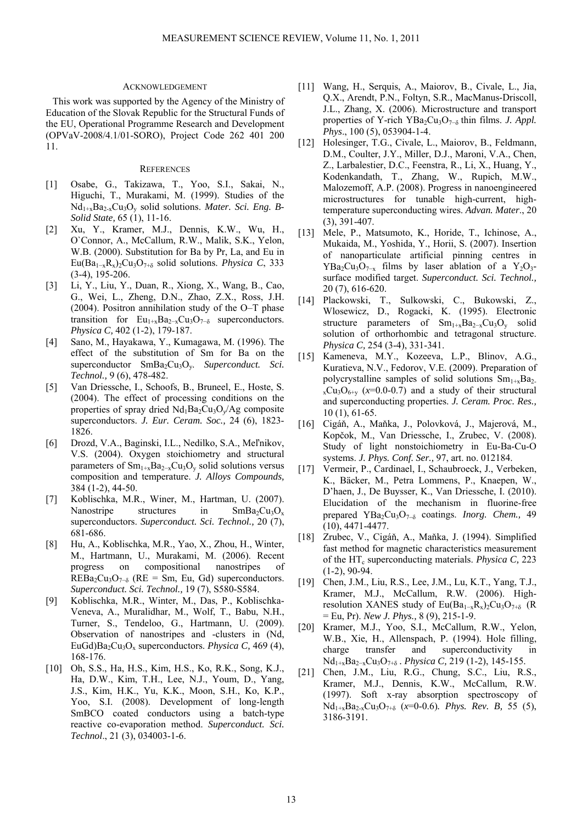#### ACKNOWLEDGEMENT

This work was supported by the Agency of the Ministry of Education of the Slovak Republic for the Structural Funds of the EU, Operational Programme Research and Development (OPVaV-2008/4.1/01-SORO), Project Code 262 401 200 11.

# **REFERENCES**

- [1] Osabe, G., Takizawa, T., Yoo, S.I., Sakai, N., Higuchi, T., Murakami, M. (1999). Studies of the Nd1+xBa2-xCu3Oy solid solutions. *Mater. Sci. Eng. B-Solid State,* 65 (1), 11-16.
- [2] Xu, Y., Kramer, M.J., Dennis, K.W., Wu, H., O`Connor, A., McCallum, R.W., Malik, S.K., Yelon, W.B. (2000). Substitution for Ba by Pr, La, and Eu in Eu(Ba1−xRx)2Cu3O7+δ solid solutions. *Physica C*, 333 (3-4), 195-206.
- [3] Li, Y., Liu, Y., Duan, R., Xiong, X., Wang, B., Cao, G., Wei, L., Zheng, D.N., Zhao, Z.X., Ross, J.H. (2004). Positron annihilation study of the O–T phase transition for  $Eu_{1+x}Ba_{2-x}Cu_3O_{7-\delta}$  superconductors. *Physica C,* 402 (1-2), 179-187.
- [4] Sano, M., Hayakawa, Y., Kumagawa, M. (1996). The effect of the substitution of Sm for Ba on the superconductor SmBa<sub>2</sub>Cu<sub>3</sub>O<sub>y</sub>. Superconduct. Sci. *Technol.,* 9 (6), 478-482.
- [5] Van Driessche, I., Schoofs, B., Bruneel, E., Hoste, S. (2004). The effect of processing conditions on the properties of spray dried  $Nd_1Ba_2Cu_3O_y/Ag$  composite superconductors. *J. Eur. Ceram. Soc.,* 24 (6), 1823- 1826.
- [6] Drozd, V.A., Baginski, I.L., Nedilko, S.A., Meľnikov, V.S. (2004). Oxygen stoichiometry and structural parameters of  $Sm_{1+x}Ba_{2-x}Cu_3O_y$  solid solutions versus composition and temperature. *J. Alloys Compounds,* 384 (1-2), 44-50.
- [7] Koblischka, M.R., Winer, M., Hartman, U. (2007). Nanostripe structures in  $SmBa_2Cu_3O_x$ superconductors. *Superconduct. Sci. Technol.,* 20 (7), 681-686.
- [8] Hu, A., Koblischka, M.R., Yao, X., Zhou, H., Winter, M., Hartmann, U., Murakami, M. (2006). Recent progress on compositional nanostripes of  $REBa_2Cu_3O_{7-\delta}$  (RE = Sm, Eu, Gd) superconductors. *Superconduct. Sci. Technol.,* 19 (7), S580-S584.
- [9] Koblischka, M.R., Winter, M., Das, P., Koblischka-Veneva, A., Muralidhar, M., Wolf, T., Babu, N.H., Turner, S., Tendeloo, G., Hartmann, U. (2009). Observation of nanostripes and -clusters in (Nd, EuGd)Ba<sub>2</sub>Cu<sub>3</sub>O<sub>x</sub> superconductors. *Physica C*, 469 (4), 168-176.
- [10] Oh, S.S., Ha, H.S., Kim, H.S., Ko, R.K., Song, K.J., Ha, D.W., Kim, T.H., Lee, N.J., Youm, D., Yang, J.S., Kim, H.K., Yu, K.K., Moon, S.H., Ko, K.P., Yoo, S.I. (2008). Development of long-length SmBCO coated conductors using a batch-type reactive co-evaporation method. *Superconduct. Sci. Technol*., 21 (3), 034003-1-6.
- [11] Wang, H., Serquis, A., Maiorov, B., Civale, L., Jia, Q.X., Arendt, P.N., Foltyn, S.R., MacManus-Driscoll, J.L., Zhang, X. (2006). Microstructure and transport properties of Y-rich YBa<sub>2</sub>Cu<sub>3</sub>O<sub>7−δ</sub> thin films. *J. Appl. Phys*., 100 (5), 053904-1-4.
- [12] Holesinger, T.G., Civale, L., Maiorov, B., Feldmann, D.M., Coulter, J.Y., Miller, D.J., Maroni, V.A., Chen, Z., Larbalestier, D.C., Feenstra, R., Li, X., Huang, Y., Kodenkandath, T., Zhang, W., Rupich, M.W., Malozemoff, A.P. (2008). Progress in nanoengineered microstructures for tunable high-current, hightemperature superconducting wires. *Advan. Mater*., 20 (3), 391-407.
- [13] Mele, P., Matsumoto, K., Horide, T., Ichinose, A., Mukaida, M., Yoshida, Y., Horii, S. (2007). Insertion of nanoparticulate artificial pinning centres in  $YBa<sub>2</sub>Cu<sub>3</sub>O<sub>7-x</sub>$  films by laser ablation of a Y<sub>2</sub>O<sub>3</sub>surface modified target. *Superconduct. Sci. Technol.,*  20 (7), 616-620.
- [14] Plackowski, T., Sulkowski, C., Bukowski, Z., Wlosewicz, D., Rogacki, K. (1995). Electronic structure parameters of  $Sm_{1+x}Ba_{2-x}Cu_3O_y$  solid solution of orthorhombic and tetragonal structure. *Physica C,* 254 (3-4), 331-341.
- [15] Kameneva, M.Y., Kozeeva, L.P., Blinov, A.G., Kuratieva, N.V., Fedorov, V.E. (2009). Preparation of polycrystalline samples of solid solutions  $Sm_{1+x}Ba_{2-x}$  $_{x}Cu_{3}O_{6+y}$  ( $x=0.0-0.7$ ) and a study of their structural and superconducting properties. *J. Ceram. Proc. Res.,* 10 (1), 61-65.
- [16] Cigáň, A., Maňka, J., Polovková, J., Majerová, M., Kopčok, M., Van Driessche, I., Zrubec, V. (2008). Study of light nonstoichiometry in Eu-Ba-Cu-O systems. *J. Phys. Conf. Ser.,* 97, art. no. 012184.
- [17] Vermeir, P., Cardinael, I., Schaubroeck, J., Verbeken, K., Bäcker, M., Petra Lommens, P., Knaepen, W., D'haen, J., De Buysser, K., Van Driessche, I. (2010). Elucidation of the mechanism in fluorine-free prepared YBa2Cu3O7<sup>−</sup>δ coatings. *Inorg. Chem.,* 49 (10), 4471-4477.
- [18] Zrubec, V., Cigáň, A., Maňka, J. (1994). Simplified fast method for magnetic characteristics measurement of the HT<sub>c</sub> superconducting materials. *Physica C*, 223 (1-2), 90-94.
- [19] Chen, J.M., Liu, R.S., Lee, J.M., Lu, K.T., Yang, T.J., Kramer, M.J., McCallum, R.W. (2006). Highresolution XANES study of Eu(Ba<sub>1-x</sub>R<sub>x</sub>)<sub>2</sub>Cu<sub>3</sub>O<sub>7+δ</sub> (R = Eu, Pr). *New J. Phys.,* 8 (9), 215-1-9.
- [20] Kramer, M.J., Yoo, S.I., McCallum, R.W., Yelon, W.B., Xie, H., Allenspach, P. (1994). Hole filling, charge transfer and superconductivity in Nd1+xBa2−xCu3O7+<sup>δ</sup> *. Physica C,* 219 (1-2), 145-155.
- [21] Chen, J.M., Liu, R.G., Chung, S.C., Liu, R.S., Kramer, M.J., Dennis, K.W., McCallum, R.W. (1997). Soft x-ray absorption spectroscopy of Nd1+xBa2-xCu3O7+δ (*x*=0-0.6)*. Phys. Rev. B,* 55 (5), 3186-3191.